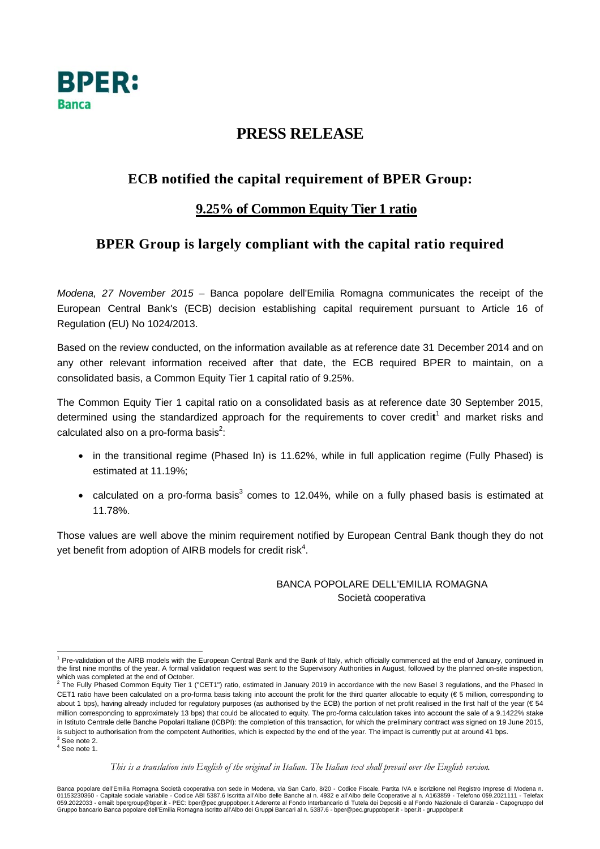

# PRESS RELEASE

# **ECB** notified the capital requirement of BPER Group:

### 9.25% of Common Equity Tier 1 ratio

## BPER Group is largely compliant with the capital ratio required

Modena, 27 November 2015 - Banca popolare dell'Emilia Romagna communicates the receipt of the European Central Bank's (ECB) decision establishing capital requirement pursuant to Article 16 of Regulation (EU) No 1024/2013.

Based on the review conducted, on the information available as at reference date 31 December 2014 and on any other relevant information received after that date, the ECB required BPER to maintain, on a consolidated basis, a Common Equity Tier 1 capital ratio of 9.25%.

The Common Equity Tier 1 capital ratio on a consolidated basis as at reference date 30 September 2015. determined using the standardized approach for the requirements to cover credit<sup>1</sup> and market risks and calculated also on a pro-forma basis<sup>2</sup>:

- in the transitional regime (Phased In) is 11.62%, while in full application regime (Fully Phased) is estimated at 11.19%:
- calculated on a pro-forma basis<sup>3</sup> comes to 12.04%, while on a fully phased basis is estimated at 11 78%

Those values are well above the minim requirement notified by European Central Bank though they do not yet benefit from adoption of AIRB models for credit risk<sup>4</sup>.

#### BANCA POPOLARE DELL'EMILIA ROMAGNA Società cooperativa

 $4$  See note 1.

<sup>&</sup>lt;sup>1</sup> Pre-validation of the AIRB models with the European Central Bank and the Bank of Italy, which officially commenced at the end of January, continued in the first nine months of the year. A formal validation request was sent to the Supervisory Authorities in August, followed by the planned on-site inspection, which was completed at the end of October.<br><sup>2</sup> The Fully Phased Common Equity Tier 1 ("CET1") ratio, estimated in January 2019 in accordance with the new Basel 3 regulations, and the Phased In

CET1 ratio have been calculated on a pro-forma basis taking into account the profit for the third quarter allocable to equity ( $\epsilon$  5 million, corresponding to about 1 bps), having already included for regulatory purposes (as authorised by the ECB) the portion of net profit realised in the first half of the year (€ 54 million corresponding to approximately 13 bps) that could be allocated to equity. The pro-forma calculation takes into account the sale of a 9.1422% stake in Istituto Centrale delle Banche Popolari Italiane (ICBPI): the completion of this transaction, for which the preliminary contract was signed on 19 June 2015. is subject to authorisation from the competent Authorities, which is expected by the end of the year. The impact is currently put at around 41 bps.  $3$  See note 2

This is a translation into English of the original in Italian. The Italian text shall prevail over the English version.

Banca popolare dell'Emilia Romagna Società cooperativa con sede in Modena, via San Carlo, 8/20 - Codice Fiscale, Partita IVA e iscrizione nel Registro Imprese di Modena n.<br>01153230360 - Capitale sociale variabile - Codice 051.2022033 - email: bpergroup@bper.it - PEC: bper@pec.gruppobper.it Aderente al Fondo Interbancario di Tutela dei Depositi e al Fondo Nazionale di Garanzia - Capogruppo del<br>Gruppo bancario Banca popolare dell'Emilia Romag